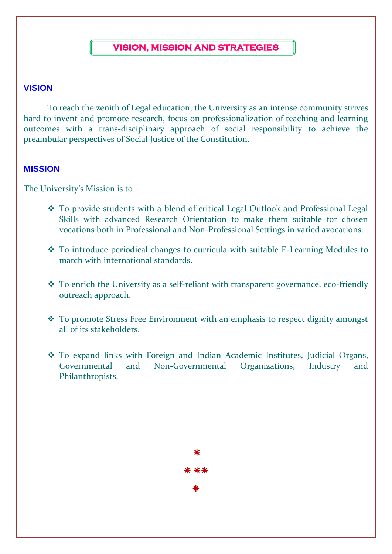#### **VISION, MISSION AND STRATEGIES**

#### **VISION**

To reach the zenith of Legal education, the University as an intense community strives hard to invent and promote research, focus on professionalization of teaching and learning outcomes with a trans-disciplinary approach of social responsibility to achieve the preambular perspectives of Social Justice of the Constitution.

#### **MISSION**

The University's Mission is to –

- ❖ To provide students with a blend of critical Legal Outlook and Professional Legal Skills with advanced Research Orientation to make them suitable for chosen vocations both in Professional and Non-Professional Settings in varied avocations.
- ❖ To introduce periodical changes to curricula with suitable E-Learning Modules to match with international standards.
- ❖ To enrich the University as a self-reliant with transparent governance, eco-friendly outreach approach.
- ❖ To promote Stress Free Environment with an emphasis to respect dignity amongst all of its stakeholders.
- ❖ To expand links with Foreign and Indian Academic Institutes, Judicial Organs, Governmental and Non-Governmental Organizations, Industry and Philanthropists.

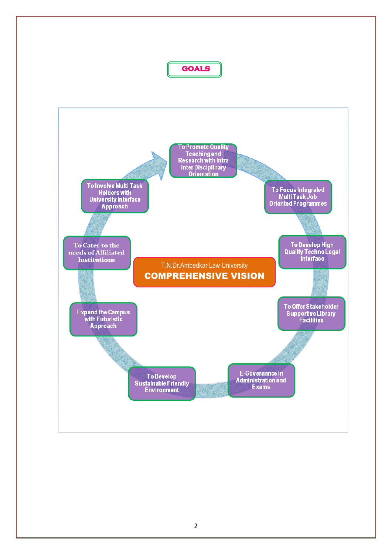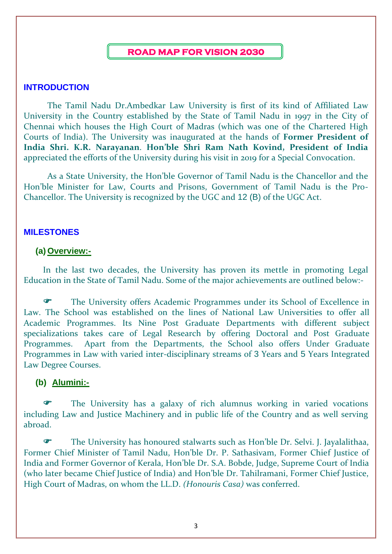#### **ROAD MAP FOR VISION 2030**

#### **INTRODUCTION**

The Tamil Nadu Dr.Ambedkar Law University is first of its kind of Affiliated Law University in the Country established by the State of Tamil Nadu in 1997 in the City of Chennai which houses the High Court of Madras (which was one of the Chartered High Courts of India). The University was inaugurated at the hands of **Former President of India Shri. K.R. Narayanan**. **Hon'ble Shri Ram Nath Kovind, President of India** appreciated the efforts of the University during his visit in 2019 for a Special Convocation.

As a State University, the Hon'ble Governor of Tamil Nadu is the Chancellor and the Hon'ble Minister for Law, Courts and Prisons, Government of Tamil Nadu is the Pro-Chancellor. The University is recognized by the UGC and 12 (B) of the UGC Act.

#### **MILESTONES**

#### **(a) Overview:-**

In the last two decades, the University has proven its mettle in promoting Legal Education in the State of Tamil Nadu. Some of the major achievements are outlined below:-

 The University offers Academic Programmes under its School of Excellence in Law. The School was established on the lines of National Law Universities to offer all Academic Programmes. Its Nine Post Graduate Departments with different subject specializations takes care of Legal Research by offering Doctoral and Post Graduate Programmes. Apart from the Departments, the School also offers Under Graduate Programmes in Law with varied inter-disciplinary streams of 3 Years and 5 Years Integrated Law Degree Courses.

#### **(b) Alumini:-**

 The University has a galaxy of rich alumnus working in varied vocations including Law and Justice Machinery and in public life of the Country and as well serving abroad.

 The University has honoured stalwarts such as Hon'ble Dr. Selvi. J. Jayalalithaa, Former Chief Minister of Tamil Nadu, Hon'ble Dr. P. Sathasivam, Former Chief Justice of India and Former Governor of Kerala, Hon'ble Dr. S.A. Bobde, Judge, Supreme Court of India (who later became Chief Justice of India) and Hon'ble Dr. Tahilramani, Former Chief Justice, High Court of Madras, on whom the LL.D. *(Honouris Casa)* was conferred.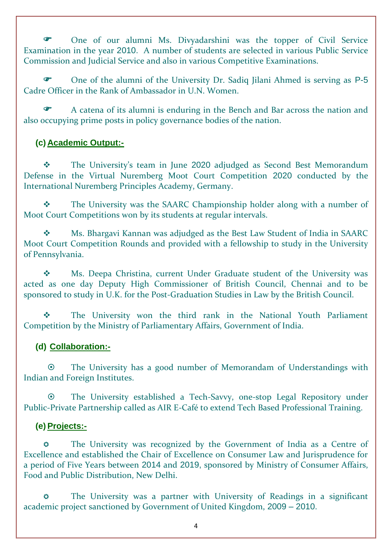One of our alumni Ms. Divyadarshini was the topper of Civil Service Examination in the year 2010. A number of students are selected in various Public Service Commission and Judicial Service and also in various Competitive Examinations.

 One of the alumni of the University Dr. Sadiq Jilani Ahmed is serving as P-5 Cadre Officer in the Rank of Ambassador in U.N. Women.

 A catena of its alumni is enduring in the Bench and Bar across the nation and also occupying prime posts in policy governance bodies of the nation.

# **(c) Academic Output:-**

❖ The University's team in June 2020 adjudged as Second Best Memorandum Defense in the Virtual Nuremberg Moot Court Competition 2020 conducted by the International Nuremberg Principles Academy, Germany.

❖ The University was the SAARC Championship holder along with a number of Moot Court Competitions won by its students at regular intervals.

❖ Ms. Bhargavi Kannan was adjudged as the Best Law Student of India in SAARC Moot Court Competition Rounds and provided with a fellowship to study in the University of Pennsylvania.

❖ Ms. Deepa Christina, current Under Graduate student of the University was acted as one day Deputy High Commissioner of British Council, Chennai and to be sponsored to study in U.K. for the Post-Graduation Studies in Law by the British Council.

❖ The University won the third rank in the National Youth Parliament Competition by the Ministry of Parliamentary Affairs, Government of India.

# **(d) Collaboration:-**

 The University has a good number of Memorandam of Understandings with Indian and Foreign Institutes.

 The University established a Tech-Savvy, one-stop Legal Repository under Public-Private Partnership called as AIR E-Café to extend Tech Based Professional Training.

#### **(e) Projects:-**

 The University was recognized by the Government of India as a Centre of Excellence and established the Chair of Excellence on Consumer Law and Jurisprudence for a period of Five Years between 2014 and 2019, sponsored by Ministry of Consumer Affairs, Food and Public Distribution, New Delhi.

 The University was a partner with University of Readings in a significant academic project sanctioned by Government of United Kingdom, 2009 – 2010.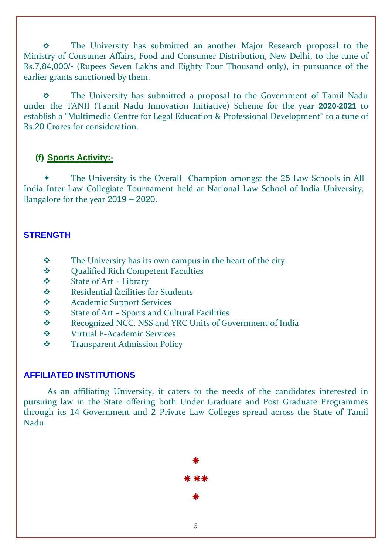The University has submitted an another Major Research proposal to the Ministry of Consumer Affairs, Food and Consumer Distribution, New Delhi, to the tune of Rs.7,84,000/- (Rupees Seven Lakhs and Eighty Four Thousand only), in pursuance of the earlier grants sanctioned by them.

 The University has submitted a proposal to the Government of Tamil Nadu under the TANII (Tamil Nadu Innovation Initiative) Scheme for the year **2020-2021** to establish a "Multimedia Centre for Legal Education & Professional Development" to a tune of Rs.20 Crores for consideration.

# **(f) Sports Activity:-**

 The University is the Overall Champion amongst the 25 Law Schools in All India Inter-Law Collegiate Tournament held at National Law School of India University, Bangalore for the year 2019 – 2020.

# **STRENGTH**

- ❖ The University has its own campus in the heart of the city.
- ❖ Qualified Rich Competent Faculties
- ❖ State of Art Library
- ❖ Residential facilities for Students
- ❖ Academic Support Services
- ❖ State of Art Sports and Cultural Facilities
- ❖ Recognized NCC, NSS and YRC Units of Government of India
- ❖ Virtual E-Academic Services
- ❖ Transparent Admission Policy

# **AFFILIATED INSTITUTIONS**

As an affiliating University, it caters to the needs of the candidates interested in pursuing law in the State offering both Under Graduate and Post Graduate Programmes through its 14 Government and 2 Private Law Colleges spread across the State of Tamil Nadu.

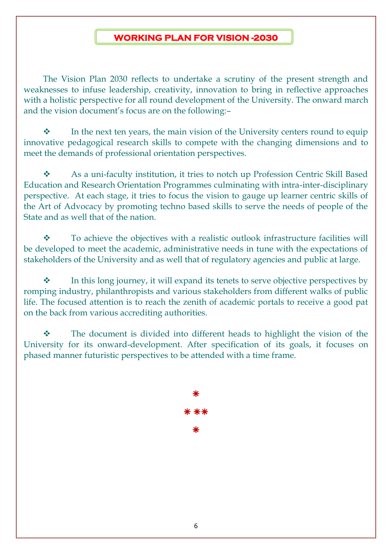# **WORKING PLAN FOR VISION -2030**

The Vision Plan 2030 reflects to undertake a scrutiny of the present strength and weaknesses to infuse leadership, creativity, innovation to bring in reflective approaches with a holistic perspective for all round development of the University. The onward march and the vision document's focus are on the following:–

❖ In the next ten years, the main vision of the University centers round to equip innovative pedagogical research skills to compete with the changing dimensions and to meet the demands of professional orientation perspectives.

❖ As a uni-faculty institution, it tries to notch up Profession Centric Skill Based Education and Research Orientation Programmes culminating with intra-inter-disciplinary perspective. At each stage, it tries to focus the vision to gauge up learner centric skills of the Art of Advocacy by promoting techno based skills to serve the needs of people of the State and as well that of the nation.

❖ To achieve the objectives with a realistic outlook infrastructure facilities will be developed to meet the academic, administrative needs in tune with the expectations of stakeholders of the University and as well that of regulatory agencies and public at large.

In this long journey, it will expand its tenets to serve objective perspectives by romping industry, philanthropists and various stakeholders from different walks of public life. The focused attention is to reach the zenith of academic portals to receive a good pat on the back from various accrediting authorities.

❖ The document is divided into different heads to highlight the vision of the University for its onward-development. After specification of its goals, it focuses on phased manner futuristic perspectives to be attended with a time frame.

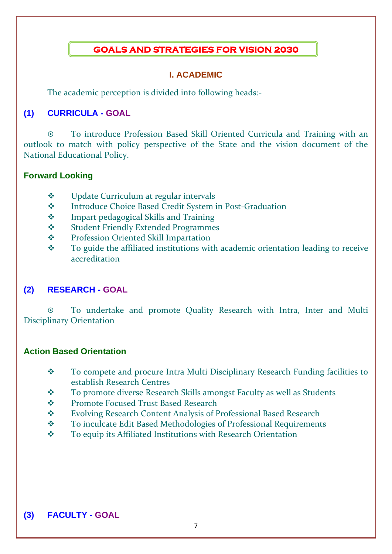# **GOALS AND STRATEGIES FOR VISION 2030**

#### **I. ACADEMIC**

The academic perception is divided into following heads:-

# **(1) CURRICULA - GOAL**

 To introduce Profession Based Skill Oriented Curricula and Training with an outlook to match with policy perspective of the State and the vision document of the National Educational Policy.

#### **Forward Looking**

- ❖ Update Curriculum at regular intervals
- ❖ Introduce Choice Based Credit System in Post-Graduation
- ❖ Impart pedagogical Skills and Training
- ❖ Student Friendly Extended Programmes
- ❖ Profession Oriented Skill Impartation
- ❖ To guide the affiliated institutions with academic orientation leading to receive accreditation

# **(2) RESEARCH - GOAL**

 To undertake and promote Quality Research with Intra, Inter and Multi Disciplinary Orientation

#### **Action Based Orientation**

- ❖ To compete and procure Intra Multi Disciplinary Research Funding facilities to establish Research Centres
- ❖ To promote diverse Research Skills amongst Faculty as well as Students
- ❖ Promote Focused Trust Based Research
- ❖ Evolving Research Content Analysis of Professional Based Research
- ❖ To inculcate Edit Based Methodologies of Professional Requirements
- ❖ To equip its Affiliated Institutions with Research Orientation

# **(3) FACULTY - GOAL**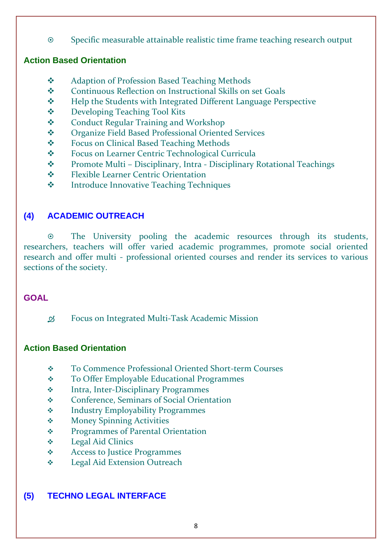Specific measurable attainable realistic time frame teaching research output

# **Action Based Orientation**

- ❖ Adaption of Profession Based Teaching Methods
- ❖ Continuous Reflection on Instructional Skills on set Goals
- ❖ Help the Students with Integrated Different Language Perspective
- ❖ Developing Teaching Tool Kits
- ❖ Conduct Regular Training and Workshop
- ❖ Organize Field Based Professional Oriented Services
- ❖ Focus on Clinical Based Teaching Methods
- ❖ Focus on Learner Centric Technological Curricula
- ❖ Promote Multi Disciplinary, Intra Disciplinary Rotational Teachings
- ❖ Flexible Learner Centric Orientation
- ❖ Introduce Innovative Teaching Techniques

# **(4) ACADEMIC OUTREACH**

 The University pooling the academic resources through its students, researchers, teachers will offer varied academic programmes, promote social oriented research and offer multi - professional oriented courses and render its services to various sections of the society.

# **GOAL**

Focus on Integrated Multi-Task Academic Mission

# **Action Based Orientation**

- ❖ To Commence Professional Oriented Short-term Courses
- ❖ To Offer Employable Educational Programmes
- ❖ Intra, Inter-Disciplinary Programmes
- ❖ Conference, Seminars of Social Orientation
- ❖ Industry Employability Programmes
- ❖ Money Spinning Activities
- ❖ Programmes of Parental Orientation
- ❖ Legal Aid Clinics
- ❖ Access to Justice Programmes
- ❖ Legal Aid Extension Outreach

# **(5) TECHNO LEGAL INTERFACE**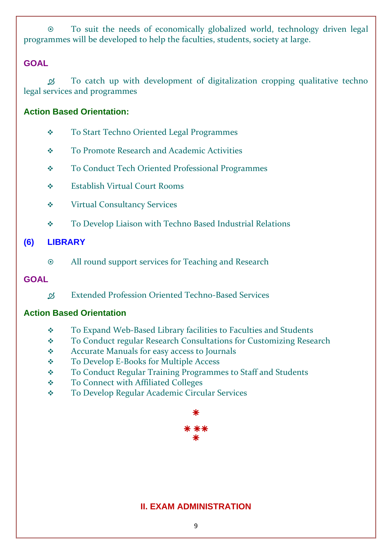To suit the needs of economically globalized world, technology driven legal programmes will be developed to help the faculties, students, society at large.

#### **GOAL**

 To catch up with development of digitalization cropping qualitative techno legal services and programmes

#### **Action Based Orientation:**

- ❖ To Start Techno Oriented Legal Programmes
- ❖ To Promote Research and Academic Activities
- ❖ To Conduct Tech Oriented Professional Programmes
- ❖ Establish Virtual Court Rooms
- ❖ Virtual Consultancy Services
- ❖ To Develop Liaison with Techno Based Industrial Relations

# **(6) LIBRARY**

All round support services for Teaching and Research

#### **GOAL**

Extended Profession Oriented Techno-Based Services

# **Action Based Orientation**

- ❖ To Expand Web-Based Library facilities to Faculties and Students
- ❖ To Conduct regular Research Consultations for Customizing Research
- ❖ Accurate Manuals for easy access to Journals
- ❖ To Develop E-Books for Multiple Access
- ❖ To Conduct Regular Training Programmes to Staff and Students
- ❖ To Connect with Affiliated Colleges
- ❖ To Develop Regular Academic Circular Services



# **II. EXAM ADMINISTRATION**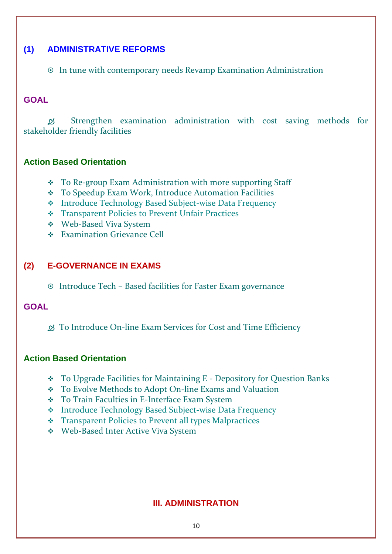#### **(1) ADMINISTRATIVE REFORMS**

In tune with contemporary needs Revamp Examination Administration

#### **GOAL**

 Strengthen examination administration with cost saving methods for stakeholder friendly facilities

#### **Action Based Orientation**

- ❖ To Re-group Exam Administration with more supporting Staff
- ❖ To Speedup Exam Work, Introduce Automation Facilities
- ❖ Introduce Technology Based Subject-wise Data Frequency
- ❖ Transparent Policies to Prevent Unfair Practices
- ❖ Web-Based Viva System
- ❖ Examination Grievance Cell

# **(2) E-GOVERNANCE IN EXAMS**

Introduce Tech – Based facilities for Faster Exam governance

#### **GOAL**

To Introduce On-line Exam Services for Cost and Time Efficiency

#### **Action Based Orientation**

- ❖ To Upgrade Facilities for Maintaining E Depository for Question Banks
- ❖ To Evolve Methods to Adopt On-line Exams and Valuation
- ❖ To Train Faculties in E-Interface Exam System
- ❖ Introduce Technology Based Subject-wise Data Frequency
- ❖ Transparent Policies to Prevent all types Malpractices
- ❖ Web-Based Inter Active Viva System

# **III. ADMINISTRATION**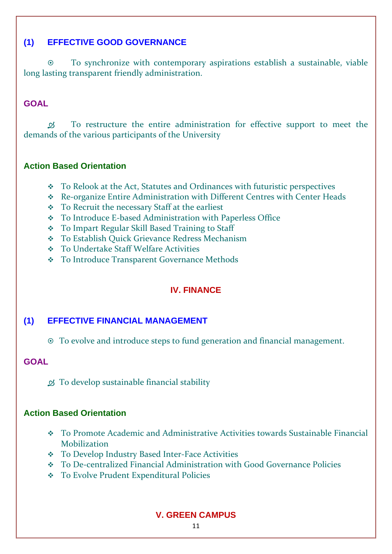# **(1) EFFECTIVE GOOD GOVERNANCE**

 To synchronize with contemporary aspirations establish a sustainable, viable long lasting transparent friendly administration.

# **GOAL**

 To restructure the entire administration for effective support to meet the demands of the various participants of the University

#### **Action Based Orientation**

- ❖ To Relook at the Act, Statutes and Ordinances with futuristic perspectives
- ❖ Re-organize Entire Administration with Different Centres with Center Heads
- ❖ To Recruit the necessary Staff at the earliest
- ❖ To Introduce E-based Administration with Paperless Office
- ❖ To Impart Regular Skill Based Training to Staff
- ❖ To Establish Quick Grievance Redress Mechanism
- ❖ To Undertake Staff Welfare Activities
- ❖ To Introduce Transparent Governance Methods

# **IV. FINANCE**

# **(1) EFFECTIVE FINANCIAL MANAGEMENT**

To evolve and introduce steps to fund generation and financial management.

#### **GOAL**

 $\mathcal{B}$  To develop sustainable financial stability

#### **Action Based Orientation**

- ❖ To Promote Academic and Administrative Activities towards Sustainable Financial Mobilization
- ❖ To Develop Industry Based Inter-Face Activities
- ❖ To De-centralized Financial Administration with Good Governance Policies
- ❖ To Evolve Prudent Expenditural Policies

# **V. GREEN CAMPUS**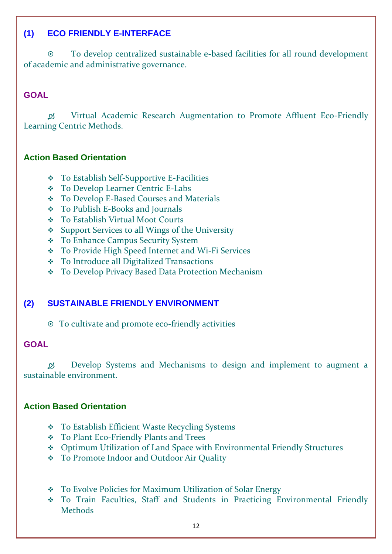# **(1) ECO FRIENDLY E-INTERFACE**

 To develop centralized sustainable e-based facilities for all round development of academic and administrative governance.

#### **GOAL**

 Virtual Academic Research Augmentation to Promote Affluent Eco-Friendly Learning Centric Methods.

#### **Action Based Orientation**

- ❖ To Establish Self-Supportive E-Facilities
- ❖ To Develop Learner Centric E-Labs
- ❖ To Develop E-Based Courses and Materials
- ❖ To Publish E-Books and Journals
- ❖ To Establish Virtual Moot Courts
- ❖ Support Services to all Wings of the University
- ❖ To Enhance Campus Security System
- ❖ To Provide High Speed Internet and Wi-Fi Services
- ❖ To Introduce all Digitalized Transactions
- ❖ To Develop Privacy Based Data Protection Mechanism

# **(2) SUSTAINABLE FRIENDLY ENVIRONMENT**

To cultivate and promote eco-friendly activities

#### **GOAL**

 Develop Systems and Mechanisms to design and implement to augment a sustainable environment.

#### **Action Based Orientation**

- ❖ To Establish Efficient Waste Recycling Systems
- ❖ To Plant Eco-Friendly Plants and Trees
- ❖ Optimum Utilization of Land Space with Environmental Friendly Structures
- ❖ To Promote Indoor and Outdoor Air Quality
- ❖ To Evolve Policies for Maximum Utilization of Solar Energy
- ❖ To Train Faculties, Staff and Students in Practicing Environmental Friendly Methods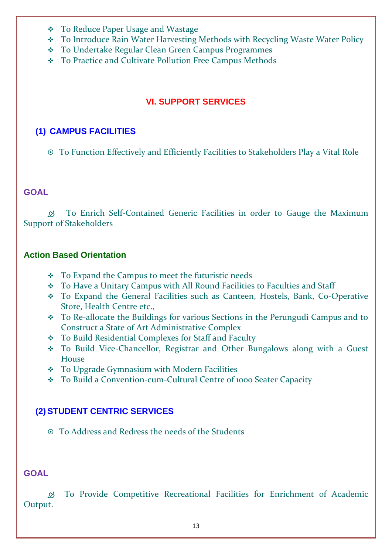- ❖ To Reduce Paper Usage and Wastage
- ❖ To Introduce Rain Water Harvesting Methods with Recycling Waste Water Policy
- ❖ To Undertake Regular Clean Green Campus Programmes
- ❖ To Practice and Cultivate Pollution Free Campus Methods

# **VI. SUPPORT SERVICES**

# **(1) CAMPUS FACILITIES**

To Function Effectively and Efficiently Facilities to Stakeholders Play a Vital Role

#### **GOAL**

 To Enrich Self-Contained Generic Facilities in order to Gauge the Maximum Support of Stakeholders

#### **Action Based Orientation**

- ❖ To Expand the Campus to meet the futuristic needs
- ❖ To Have a Unitary Campus with All Round Facilities to Faculties and Staff
- ❖ To Expand the General Facilities such as Canteen, Hostels, Bank, Co-Operative Store, Health Centre etc.,
- ❖ To Re-allocate the Buildings for various Sections in the Perungudi Campus and to Construct a State of Art Administrative Complex
- ❖ To Build Residential Complexes for Staff and Faculty
- ❖ To Build Vice-Chancellor, Registrar and Other Bungalows along with a Guest House
- ❖ To Upgrade Gymnasium with Modern Facilities
- ❖ To Build a Convention-cum-Cultural Centre of 1000 Seater Capacity

# **(2) STUDENT CENTRIC SERVICES**

To Address and Redress the needs of the Students

#### **GOAL**

 To Provide Competitive Recreational Facilities for Enrichment of Academic Output.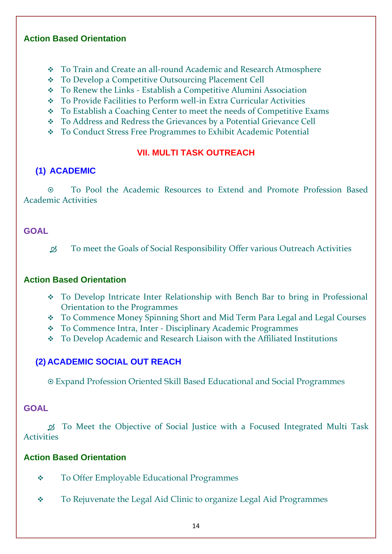#### **Action Based Orientation**

- ❖ To Train and Create an all-round Academic and Research Atmosphere
- ❖ To Develop a Competitive Outsourcing Placement Cell
- ❖ To Renew the Links Establish a Competitive Alumini Association
- ❖ To Provide Facilities to Perform well-in Extra Curricular Activities
- ❖ To Establish a Coaching Center to meet the needs of Competitive Exams
- ❖ To Address and Redress the Grievances by a Potential Grievance Cell
- ❖ To Conduct Stress Free Programmes to Exhibit Academic Potential

# **VII. MULTI TASK OUTREACH**

# **(1) ACADEMIC**

 To Pool the Academic Resources to Extend and Promote Profession Based Academic Activities

# **GOAL**

To meet the Goals of Social Responsibility Offer various Outreach Activities

# **Action Based Orientation**

- ❖ To Develop Intricate Inter Relationship with Bench Bar to bring in Professional Orientation to the Programmes
- ❖ To Commence Money Spinning Short and Mid Term Para Legal and Legal Courses
- ❖ To Commence Intra, Inter Disciplinary Academic Programmes
- ❖ To Develop Academic and Research Liaison with the Affiliated Institutions

# **(2) ACADEMIC SOCIAL OUT REACH**

Expand Profession Oriented Skill Based Educational and Social Programmes

# **GOAL**

 To Meet the Objective of Social Justice with a Focused Integrated Multi Task Activities

# **Action Based Orientation**

- ❖ To Offer Employable Educational Programmes
- ❖ To Rejuvenate the Legal Aid Clinic to organize Legal Aid Programmes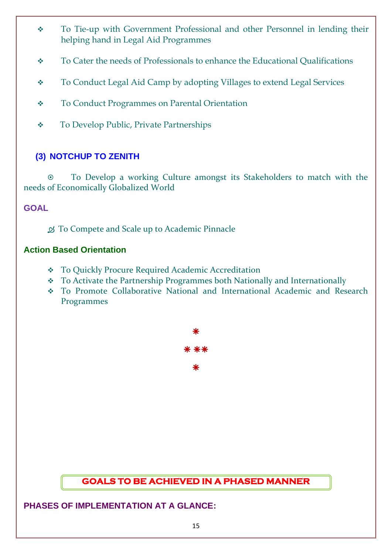- ❖ To Tie-up with Government Professional and other Personnel in lending their helping hand in Legal Aid Programmes
- ❖ To Cater the needs of Professionals to enhance the Educational Qualifications
- ❖ To Conduct Legal Aid Camp by adopting Villages to extend Legal Services
- ❖ To Conduct Programmes on Parental Orientation
- ❖ To Develop Public, Private Partnerships

# **(3) NOTCHUP TO ZENITH**

 To Develop a working Culture amongst its Stakeholders to match with the needs of Economically Globalized World

# **GOAL**

 $\mathcal{D}$  To Compete and Scale up to Academic Pinnacle

#### **Action Based Orientation**

- ❖ To Quickly Procure Required Academic Accreditation
- ❖ To Activate the Partnership Programmes both Nationally and Internationally
- ❖ To Promote Collaborative National and International Academic and Research Programmes



# **GOALS TO BE ACHIEVED IN A PHASED MANNER**

**PHASES OF IMPLEMENTATION AT A GLANCE:**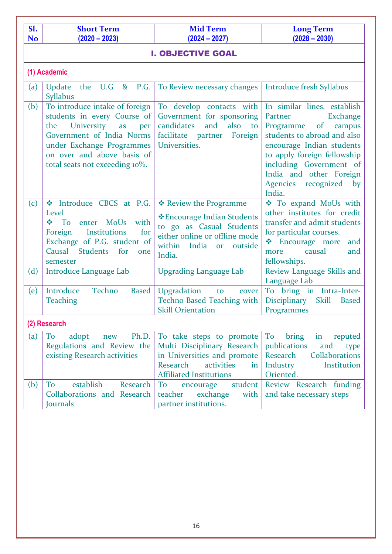| Sl.       | <b>Short Term</b>                                                                                                                                                                                                                | <b>Mid Term</b>                                                                                                                                                        | <b>Long Term</b>                                                                                                                                                                                                                                                               |  |  |  |  |
|-----------|----------------------------------------------------------------------------------------------------------------------------------------------------------------------------------------------------------------------------------|------------------------------------------------------------------------------------------------------------------------------------------------------------------------|--------------------------------------------------------------------------------------------------------------------------------------------------------------------------------------------------------------------------------------------------------------------------------|--|--|--|--|
| <b>No</b> | $(2020 - 2023)$                                                                                                                                                                                                                  | $(2024 - 2027)$                                                                                                                                                        | $(2028 - 2030)$                                                                                                                                                                                                                                                                |  |  |  |  |
|           | <b>I. OBJECTIVE GOAL</b>                                                                                                                                                                                                         |                                                                                                                                                                        |                                                                                                                                                                                                                                                                                |  |  |  |  |
|           | (1) Academic                                                                                                                                                                                                                     |                                                                                                                                                                        |                                                                                                                                                                                                                                                                                |  |  |  |  |
| (a)       | the U.G &<br><b>P.G.</b><br>Update<br><b>Syllabus</b>                                                                                                                                                                            | To Review necessary changes                                                                                                                                            | Introduce fresh Syllabus                                                                                                                                                                                                                                                       |  |  |  |  |
| (b)       | To introduce intake of foreign<br>students in every Course of<br><b>University</b><br>the<br>as<br>per<br>Government of India Norms<br>under Exchange Programmes<br>on over and above basis of<br>total seats not exceeding 10%. | To develop contacts with<br>Government for sponsoring<br>candidates<br>also to<br>and<br>facilitate partner<br>Foreign<br>Universities.                                | In similar lines, establish<br>Partner<br>Exchange<br>Programme<br>of campus<br>students to abroad and also<br>encourage Indian students<br>to apply foreign fellowship<br>including Government of<br>India and other Foreign<br><b>Agencies</b><br>recognized<br>by<br>India. |  |  |  |  |
| (c)       | * Introduce CBCS at P.G.<br>Level<br>with<br>enter MoUs<br>❖<br>To<br><b>Institutions</b><br>Foreign<br>for<br>Exchange of P.G. student of<br>Causal Students<br>for<br>one<br>semester                                          | ❖ Review the Programme<br>*Encourage Indian Students<br>to go as Casual Students<br>either online or offline mode<br>within<br>India<br>outside<br><b>or</b><br>India. | To expand MoUs with<br>other institutes for credit<br>transfer and admit students<br>for particular courses.<br>❖ Encourage more<br>and<br>causal<br>and<br>more<br>fellowships.                                                                                               |  |  |  |  |
| (d)       | Introduce Language Lab                                                                                                                                                                                                           | <b>Upgrading Language Lab</b>                                                                                                                                          | Review Language Skills and<br>Language Lab                                                                                                                                                                                                                                     |  |  |  |  |
| (e)       | Introduce<br>Techno<br><b>Based</b><br><b>Teaching</b>                                                                                                                                                                           | Upgradation<br>to<br>cover<br>Techno Based Teaching with<br><b>Skill Orientation</b>                                                                                   | To bring in Intra-Inter-<br>Disciplinary<br><b>Skill</b><br><b>Based</b><br>Programmes                                                                                                                                                                                         |  |  |  |  |
|           | (2) Research                                                                                                                                                                                                                     |                                                                                                                                                                        |                                                                                                                                                                                                                                                                                |  |  |  |  |
| (a)       | Ph.D.<br>To<br>adopt<br>new<br>Regulations and Review the<br>existing Research activities                                                                                                                                        | To take steps to promote<br>Multi Disciplinary Research<br>in Universities and promote<br>Research<br>activities<br>in<br><b>Affiliated Institutions</b>               | in<br>To<br>bring<br>reputed<br>publications<br>and<br>type<br>Collaborations<br>Research<br>Industry<br>Institution<br>Oriented.                                                                                                                                              |  |  |  |  |
| (b)       | establish<br>To<br>Research<br>Collaborations and Research<br>Journals                                                                                                                                                           | student<br>To<br>encourage<br>exchange<br>teacher<br>with<br>partner institutions.                                                                                     | Review Research funding<br>and take necessary steps                                                                                                                                                                                                                            |  |  |  |  |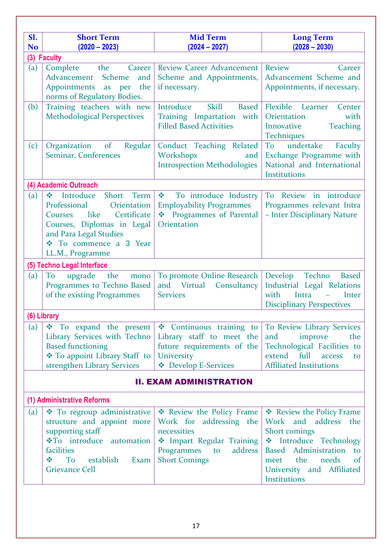| Sl.                            | <b>Short Term</b>                                                | <b>Mid Term</b>                           | <b>Long Term</b>                                              |  |  |
|--------------------------------|------------------------------------------------------------------|-------------------------------------------|---------------------------------------------------------------|--|--|
| <b>No</b>                      | $(2020 - 2023)$                                                  | $(2024 - 2027)$                           | $(2028 - 2030)$                                               |  |  |
|                                | (3) Faculty                                                      |                                           |                                                               |  |  |
| (a)                            | the<br>Complete<br><b>Career</b><br><b>Scheme</b><br>Advancement | <b>Review Career Advancement</b>          | Review<br>Career<br>Advancement Scheme and                    |  |  |
|                                | and<br>Appointments<br>the<br>as per                             | Scheme and Appointments,<br>if necessary. | Appointments, if necessary.                                   |  |  |
|                                | norms of Regulatory Bodies.                                      |                                           |                                                               |  |  |
| (b)                            | Training teachers with new                                       | Introduce<br><b>Skill</b><br><b>Based</b> | Flexible Learner<br>Center                                    |  |  |
|                                | <b>Methodological Perspectives</b>                               | Training Impartation with                 | Orientation<br>with                                           |  |  |
|                                |                                                                  | <b>Filled Based Activities</b>            | <b>Teaching</b><br>Innovative<br><b>Techniques</b>            |  |  |
| (c)                            | Organization of<br>Regular                                       | Conduct Teaching Related                  | undertake<br>To<br>Faculty                                    |  |  |
|                                | Seminar, Conferences                                             | Workshops<br>and                          | Exchange Programme with                                       |  |  |
|                                |                                                                  | <b>Introspection Methodologies</b>        | National and International                                    |  |  |
|                                |                                                                  |                                           | Institutions                                                  |  |  |
|                                | (4) Academic Outreach                                            |                                           |                                                               |  |  |
| (a)                            | Short<br>$\sigma_{\rm eff}^{\rm 2}$<br>Introduce<br>Term         | To introduce Industry                     | To Review in introduce                                        |  |  |
|                                | Professional<br>Orientation                                      | <b>Employability Programmes</b>           | Programmes relevant Intra                                     |  |  |
|                                | Certificate<br>like<br>Courses                                   | Programmes of Parental                    | - Inter Disciplinary Nature                                   |  |  |
|                                | Courses, Diplomas in Legal                                       | Orientation                               |                                                               |  |  |
|                                | and Para Legal Studies                                           |                                           |                                                               |  |  |
|                                | ❖ To commence a 3 Year                                           |                                           |                                                               |  |  |
|                                | LL.M., Programme                                                 |                                           |                                                               |  |  |
|                                | (5) Techno Legal Interface                                       |                                           |                                                               |  |  |
| (a)                            | upgrade<br>To<br>the<br>mono                                     | To promote Online Research                | Techno<br>Develop<br><b>Based</b>                             |  |  |
|                                | Programmes to Techno Based                                       | and Virtual<br>Consultancy                | Industrial Legal Relations<br>Intra<br>with                   |  |  |
|                                | of the existing Programmes                                       | <b>Services</b>                           | Inter<br><b>Disciplinary Perspectives</b>                     |  |  |
|                                |                                                                  |                                           |                                                               |  |  |
| (6) Library                    |                                                                  |                                           |                                                               |  |  |
| (a)                            | $\div$ To expand the present                                     | Continuous training to                    | To Review Library Services                                    |  |  |
|                                | Library Services with Techno                                     | Library staff to meet the                 | and<br>improve<br>the                                         |  |  |
|                                | <b>Based functioning</b><br>❖ To appoint Library Staff to        | future requirements of the<br>University  | Technological Facilities to<br>extend<br>full<br>access<br>to |  |  |
|                                | strengthen Library Services                                      | <b>❖</b> Develop E-Services               | <b>Affiliated Institutions</b>                                |  |  |
|                                |                                                                  |                                           |                                                               |  |  |
| <b>II. EXAM ADMINISTRATION</b> |                                                                  |                                           |                                                               |  |  |
|                                | (1) Administrative Reforms                                       |                                           |                                                               |  |  |
| (a)                            | * To regroup administrative                                      | * Review the Policy Frame                 | ❖ Review the Policy Frame                                     |  |  |
|                                | structure and appoint more                                       | Work for addressing the                   | Work and address the                                          |  |  |
|                                | supporting staff                                                 | necessities                               | Short comings                                                 |  |  |
|                                | <b>*To</b> introduce automation                                  | * Impart Regular Training                 | <b>*</b> Introduce Technology                                 |  |  |
|                                | facilities                                                       | Programmes to<br>address                  | Based Administration<br>to                                    |  |  |
|                                | $\frac{1}{2}$<br>To<br>establish<br>Exam                         | <b>Short Comings</b>                      | the<br>needs<br>$\sigma$<br>meet                              |  |  |
|                                | <b>Grievance Cell</b>                                            |                                           | University and Affiliated                                     |  |  |
|                                |                                                                  |                                           | Institutions                                                  |  |  |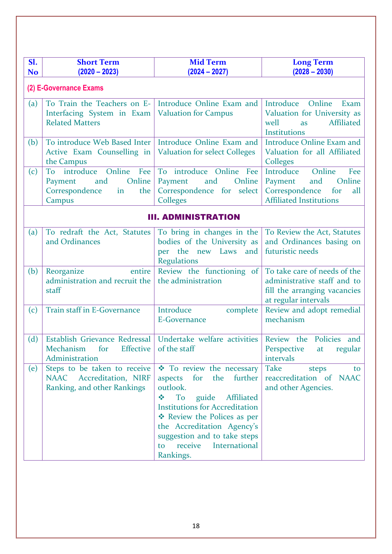| Sl.                    | <b>Short Term</b>                                                                                  | <b>Mid Term</b>                                                                                                                                                                                                                                                                                                            | <b>Long Term</b>                                                                                                         |  |
|------------------------|----------------------------------------------------------------------------------------------------|----------------------------------------------------------------------------------------------------------------------------------------------------------------------------------------------------------------------------------------------------------------------------------------------------------------------------|--------------------------------------------------------------------------------------------------------------------------|--|
| <b>No</b>              | $(2020 - 2023)$                                                                                    | $(2024 - 2027)$                                                                                                                                                                                                                                                                                                            | $(2028 - 2030)$                                                                                                          |  |
| (2) E-Governance Exams |                                                                                                    |                                                                                                                                                                                                                                                                                                                            |                                                                                                                          |  |
| (a)                    | To Train the Teachers on E-<br>Interfacing System in Exam<br><b>Related Matters</b>                | Introduce Online Exam and<br><b>Valuation for Campus</b>                                                                                                                                                                                                                                                                   | Introduce Online<br>Exam<br>Valuation for University as<br>Affiliated<br>well<br>as<br>Institutions                      |  |
| (b)                    | To introduce Web Based Inter<br>Active Exam Counselling in<br>the Campus                           | Introduce Online Exam and<br><b>Valuation for select Colleges</b>                                                                                                                                                                                                                                                          | <b>Introduce Online Exam and</b><br>Valuation for all Affiliated<br>Colleges                                             |  |
| (c)                    | Online<br>To introduce<br>Fee<br>Online<br>and<br>Payment<br>Correspondence<br>in<br>the<br>Campus | To introduce Online Fee<br>Online<br>Payment<br>and<br>Correspondence for select<br><b>Colleges</b>                                                                                                                                                                                                                        | Introduce<br>Online<br>Fee<br>Online<br>Payment<br>and<br>Correspondence<br>for<br>all<br><b>Affiliated Institutions</b> |  |
|                        |                                                                                                    | <b>III. ADMINISTRATION</b>                                                                                                                                                                                                                                                                                                 |                                                                                                                          |  |
| (a)                    | To redraft the Act, Statutes<br>and Ordinances                                                     | To bring in changes in the<br>bodies of the University as<br>per the new Laws<br>and<br><b>Regulations</b>                                                                                                                                                                                                                 | To Review the Act, Statutes<br>and Ordinances basing on<br>futuristic needs                                              |  |
| (b)                    | Reorganize<br>entire<br>administration and recruit the<br>staff                                    | Review the functioning of<br>the administration                                                                                                                                                                                                                                                                            | To take care of needs of the<br>administrative staff and to<br>fill the arranging vacancies<br>at regular intervals      |  |
| (c)                    | Train staff in E-Governance                                                                        | Introduce<br>complete<br>E-Governance                                                                                                                                                                                                                                                                                      | Review and adopt remedial<br>mechanism                                                                                   |  |
| (d)                    | Establish Grievance Redressal<br>Mechanism<br>for<br><b>Effective</b><br>Administration            | Undertake welfare activities Review the Policies and<br>of the staff                                                                                                                                                                                                                                                       | Perspective<br>regular<br>at<br>intervals                                                                                |  |
| (e)                    | Steps to be taken to receive<br>NAAC Accreditation, NIRF<br>Ranking, and other Rankings            | <b>❖</b> To review the necessary<br>for<br>the<br>further<br>aspects<br>outlook.<br><b>To</b><br>guide<br>Affiliated<br>$\frac{1}{2}$<br><b>Institutions for Accreditation</b><br>* Review the Polices as per<br>the Accreditation Agency's<br>suggestion and to take steps<br>International<br>receive<br>to<br>Rankings. | <b>Take</b><br>steps<br>to<br>reaccreditation of NAAC<br>and other Agencies.                                             |  |